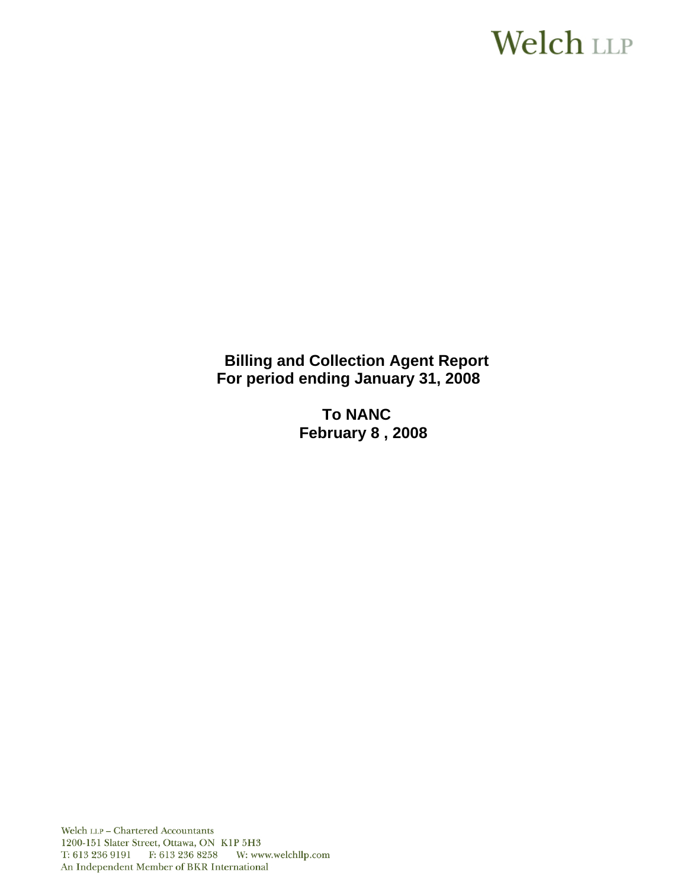# **Welch LLP**

**Billing and Collection Agent Report For period ending January 31, 2008**

> **To NANC February 8 , 2008**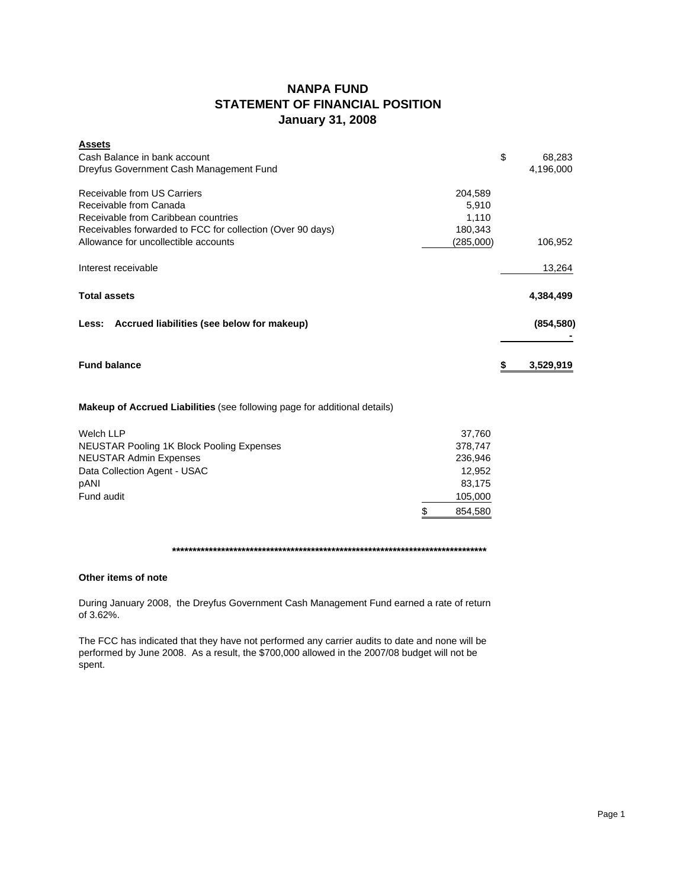## **NANPA FUND STATEMENT OF FINANCIAL POSITION January 31, 2008**

| <b>Assets</b>                                              |           |            |
|------------------------------------------------------------|-----------|------------|
| Cash Balance in bank account                               | \$        | 68,283     |
| Dreyfus Government Cash Management Fund                    |           | 4,196,000  |
| Receivable from US Carriers                                | 204,589   |            |
| Receivable from Canada                                     | 5,910     |            |
| Receivable from Caribbean countries                        | 1,110     |            |
| Receivables forwarded to FCC for collection (Over 90 days) | 180,343   |            |
| Allowance for uncollectible accounts                       | (285,000) | 106,952    |
| Interest receivable                                        |           | 13,264     |
| <b>Total assets</b>                                        |           | 4,384,499  |
| Less: Accrued liabilities (see below for makeup)           |           | (854, 580) |
|                                                            |           |            |
| <b>Fund balance</b>                                        |           | 3,529,919  |

## **Makeup of Accrued Liabilities** (see following page for additional details)

| Welch LLP                                        | 37,760  |
|--------------------------------------------------|---------|
| <b>NEUSTAR Pooling 1K Block Pooling Expenses</b> | 378,747 |
| <b>NEUSTAR Admin Expenses</b>                    | 236.946 |
| Data Collection Agent - USAC                     | 12.952  |
| pANI                                             | 83.175  |
| Fund audit                                       | 105,000 |
|                                                  | 854.580 |

### **\*\*\*\*\*\*\*\*\*\*\*\*\*\*\*\*\*\*\*\*\*\*\*\*\*\*\*\*\*\*\*\*\*\*\*\*\*\*\*\*\*\*\*\*\*\*\*\*\*\*\*\*\*\*\*\*\*\*\*\*\*\*\*\*\*\*\*\*\*\*\*\*\*\*\*\*\***

#### **Other items of note**

During January 2008, the Dreyfus Government Cash Management Fund earned a rate of return of 3.62%.

The FCC has indicated that they have not performed any carrier audits to date and none will be performed by June 2008. As a result, the \$700,000 allowed in the 2007/08 budget will not be spent.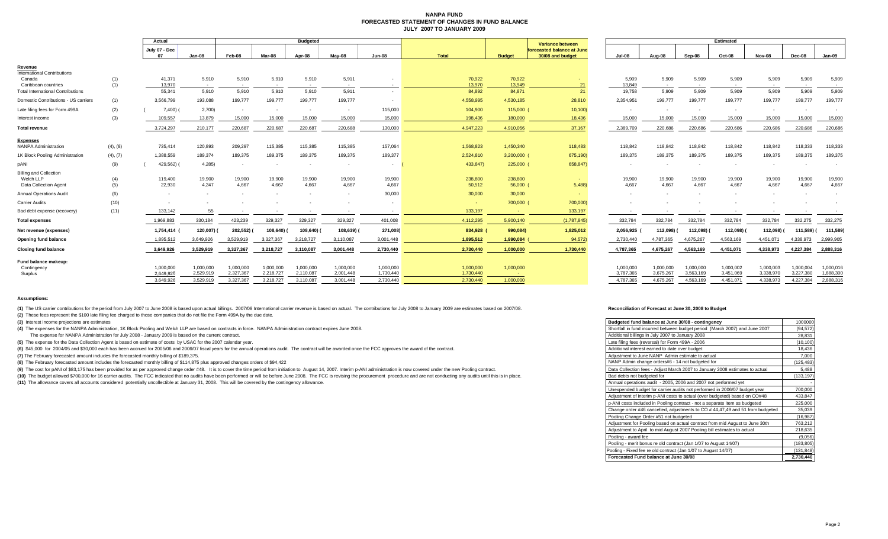#### **NANPA FUND FORECASTED STATEMENT OF CHANGES IN FUND BALANCEJULY 2007 TO JANUARY 2009**

|                                              |            | Actual              |                 | <b>Budgeted</b> |                 |                 |                 |                 |                   |                   | <b>Variance between</b>                        | <b>Estimated</b> |                 |                 |                 |                 |                 |                 |
|----------------------------------------------|------------|---------------------|-----------------|-----------------|-----------------|-----------------|-----------------|-----------------|-------------------|-------------------|------------------------------------------------|------------------|-----------------|-----------------|-----------------|-----------------|-----------------|-----------------|
|                                              |            | July 07 - Dec<br>07 | Jan-08          | Feb-08          | Mar-08          | Apr-08          | May-08          | Jun-08          | <b>Total</b>      | <b>Budget</b>     | forecasted balance at June<br>30/08 and budget | Jul-08           | Aug-08          | Sep-08          | Oct-08          | Nov-08          | Dec-08          | Jan-09          |
| Revenu                                       |            |                     |                 |                 |                 |                 |                 |                 |                   |                   |                                                |                  |                 |                 |                 |                 |                 |                 |
| <b>International Contributions</b><br>Canada | (1)        | 41,371              | 5,910           | 5,910           | 5,910           | 5,910           | 5,911           |                 | 70,922            | 70,922            |                                                | 5,909            | 5,909           | 5,909           | 5,909           | 5,909           | 5,909           | 5,909           |
| Caribbean countries                          | (1)        | 13,970              | $\sim$          | $\sim$          |                 | $\sim$          |                 |                 | 13,970            | 13.949            | 21                                             | 13,849           | $\sim$          | $\sim$          |                 | $\sim$          | $\sim$          | $\sim$          |
| <b>Total International Contributions</b>     |            | 55,341              | 5,910           | 5,910           | 5.910           | 5,910           | 5,911           |                 | 84,892            | 84,871            | 21                                             | 19,758           | 5,909           | 5,909           | 5,909           | 5,909           | 5,909           | 5,909           |
| Domestic Contributions - US carriers         | (1)        | 3,566,799           | 193,088         | 199,777         | 199,777         | 199,777         | 199,777         |                 | 4,558,995         | 4,530,185         | 28,810                                         | 2,354,951        | 199,777         | 199,777         | 199,777         | 199,777         | 199,777         | 199,777         |
| Late filing fees for Form 499A               | (2)        | 7,400(              | 2,700           | $\sim$          |                 | $\sim$          |                 | 115,000         | 104,900           | 115,000           | 10,100                                         | $\sim$           |                 | $\sim$          | $\sim$          | $\sim$          |                 |                 |
| Interest income                              | (3)        | 109,557             | 13,879          | 15,000          | 15,000          | 15,000          | 15,000          | 15,000          | 198,436           | 180,000           | 18,436                                         | 15,000           | 15,000          | 15,000          | 15,000          | 15,000          | 15,000          | 15,000          |
| Total revenue                                |            | 3,724,297           | 210,177         | 220,687         | 220,687         | 220,687         | 220,688         | 130,000         | 4,947,223         | 4,910,056         | 37,167                                         | 2,389,709        | 220,686         | 220,686         | 220,686         | 220,686         | 220,686         | 220,686         |
| <b>Expenses</b>                              |            |                     |                 |                 |                 |                 |                 |                 |                   |                   |                                                |                  |                 |                 |                 |                 |                 |                 |
| <b>NANPA Administration</b>                  | (4), (8)   | 735,414             | 120,893         | 209,297         | 115,385         | 115,385         | 115,385         | 157,064         | 1,568,823         | 1,450,340         | 118,483                                        | 118,842          | 118,842         | 118,842         | 118,842         | 118,842         | 118,333         | 118,333         |
| 1K Block Pooling Administration              | (4), (7)   | 1,388,559           | 189,374         | 189,375         | 189,375         | 189,375         | 189,375         | 189,377         | 2,524,810         | 3,200,000         | 675,190)                                       | 189,375          | 189,375         | 189,375         | 189,375         | 189,375         | 189,375         | 189,375         |
| pANI                                         | (9)        | 429,562)            | 4,285           | $\sim$          |                 | $\sim$          |                 |                 | 433,847)          | 225,000 (         | 658,847)                                       | $\sim$           |                 |                 |                 | $\sim$          |                 |                 |
| <b>Billing and Collection</b>                |            |                     |                 |                 |                 |                 |                 |                 |                   |                   |                                                |                  |                 |                 |                 |                 |                 |                 |
| Welch LLP<br><b>Data Collection Agent</b>    | (4)<br>(5) | 119,400<br>22,930   | 19,900<br>4.247 | 19,900<br>4,667 | 19,900<br>4,667 | 19,900<br>4,667 | 19,900<br>4.667 | 19,900<br>4,667 | 238,800<br>50,512 | 238,800<br>56,000 | 5,488)                                         | 19,900<br>4,667  | 19,900<br>4,667 | 19,900<br>4,667 | 19,900<br>4.667 | 19,900<br>4,667 | 19,900<br>4,667 | 19,900<br>4,667 |
| <b>Annual Operations Audit</b>               | (6)        |                     |                 | $\sim$          |                 | $\sim$          |                 | 30,000          | 30,000            | 30,000            |                                                | $\sim$           |                 |                 |                 | $\sim$          |                 |                 |
| <b>Carrier Audits</b>                        | (10)       |                     |                 |                 |                 |                 |                 |                 | <b>College</b>    | 700,000           | 700,000)                                       |                  |                 |                 |                 |                 |                 |                 |
| Bad debt expense (recovery)                  | (11)       | 133,142             | 55              |                 |                 |                 |                 |                 | 133,197           |                   | 133,197                                        |                  |                 |                 |                 |                 |                 |                 |
| <b>Total expenses</b>                        |            | 1,969,883           | 330,184         | 423,239         | 329,327         | 329,327         | 329,327         | 401,008         | 4,112,295         | 5,900,140         | (1,787,845)                                    | 332,784          | 332,784         | 332,784         | 332,784         | 332,784         | 332,275         | 332,275         |
| Net revenue (expenses)                       |            | 1,754,414 (         | 120,007) (      | 202,552)        | 108,640) (      | 108,640)        | 108,639) (      | 271,008)        | 834,928           | 990,084)          | 1,825,012                                      | 2,056,925        | 112,098)        | 112,098)        | 112,098)        | 112,098)        | 111,589) (      | 111,589)        |
| <b>Opening fund balance</b>                  |            | 1,895,512           | 3,649,926       | 3.529.919       | 3,327,367       | 3.218.727       | 3,110,087       | 3,001,448       | 1,895,512         | 1,990,084         | 94,572)                                        | 2,730,440        | 4,787,365       | 4,675,267       | 4,563,169       | 4.451.071       | 4.338.973       | 2,999,905       |
| <b>Closing fund balance</b>                  |            | 3,649,926           | 3,529,919       | 3,327,367       | 3,218,727       | 3,110,087       | 3,001,448       | 2,730,440       | 2,730,440         | 1,000,000         | 1,730,440                                      | 4,787,365        | 4,675,267       | 4,563,169       | 4,451,071       | 4,338,973       | 4,227,384       | 2,888,316       |
| Fund balance makeup:                         |            |                     |                 |                 |                 |                 |                 |                 |                   |                   |                                                |                  |                 |                 |                 |                 |                 |                 |
| Contingency                                  |            | 1,000,000           | 1,000,000       | 1,000,000       | 1,000,000       | 1,000,000       | 1,000,000       | 1,000,000       | 1,000,000         | 1,000,000         |                                                | 1.000.000        | 1,000,000       | 1,000,000       | 1,000,002       | 1,000,003       | 1.000.004       | 1,000,016       |
| Surplus                                      |            | 2,649,926           | 2,529,919       | 2,327,367       | 2,218,727       | 2,110,087       | 2,001,448       | 1,730,440       | 1,730,440         | <b>Contract</b>   |                                                | 3,787,365        | 3,675,267       | 3,563,169       | 3,451,069       | 3,338,970       | 3,227,380       | 1,888,300       |
|                                              |            | 3.649.926           | 3.529.919       | 3.327.367       | 3,218,727       | 3,110,087       | 3.001.448       | 2.730.440       | 2.730.440         | 1.000.000         |                                                | 4.787.365        | 4.675.267       | 4.563.169       | 4.451.071       | 4.338.973       | 4.227.384       | 2,888,316       |

#### **Assumptions:**

(1) The US carrier contributions for the period from July 2007 to June 2008 is based upon actual billings. 2007/08 International carrier revenue is based on actual. The contributions for July 2008 to January 2009 are estim

**(2)** These fees represent the \$100 late filing fee charged to those companies that do not file the Form 499A by the due date.

**(3)** Interest income projections are estimates

**(4)** The expenses for the NANPA Administration, 1K Block Pooling and Welch LLP are based on contracts in force. NANPA Administration contract expires June 2008.

The expense for NANPA Administration for July 2008 - January 2009 is based on the current contract.

**(5)** The expense for the Data Collection Agent is based on estimate of costs by USAC for the 2007 calendar year.

(6) \$45,000 for 2004/05 and \$30,000 each has been accrued for 2005/06 and 2006/07 fiscal years for the annual operations audit. The contract will be awarded once the FCC approves the award of the contract.

**(7)** The February forecasted amount includes the forecasted monthly billing of \$189,375.

**(8)** The February forecasted amount includes the forecasted monthly billing of \$114,875 plus approved changes orders of \$94,422

(9) The cost for pANI of \$83,175 has been provided for as per approved change order #48. It is to cover the time period from initiation to August 14, 2007. Interim p-ANI administration is now covered under the new Pooling

(10) The budget allowed \$700,000 for 16 carrier audits. The FCC indicated that no audits have been performed or will be before June 2008. The FCC is revising the procurement procedure and are not conducting any audits unti

**(11)** The allowance covers all accounts considered potentially uncollectible at January 31, 2008. This will be covered by the contingency allowance.

#### **Reconciliation of Forecast at June 30, 2008 to Budget**

з.

| Budgeted fund balance at June 30/08 - contingency                            | 1000000    |
|------------------------------------------------------------------------------|------------|
| Shortfall in fund incurred between budget period (March 2007) and June 2007  | (94.572)   |
| Additional billings in July 2007 to January 2008                             | 28,831     |
| Late filing fees (reversal) for Form 499A - 2006                             | (10, 100)  |
| Additional interest earned to date over budget                               | 18,436     |
| Adjustment to June NANP Admin estimate to actual                             | 7,000      |
| NANP Admin change orders#6 - 14 not budgeted for                             | (125, 483) |
| Data Collection fees - Adjust March 2007 to January 2008 estimates to actual | 5,488      |
| Bad debts not budgeted for                                                   | (133, 197) |
| Annual operations audit - 2005, 2006 and 2007 not performed yet              |            |
| Unexpended budget for carrier audits not performed in 2006/07 budget year    | 700,000    |
| Adjustment of interim p-ANI costs to actual (over budgeted) based on CO#48   | 433.847    |
| p-ANI costs included in Pooling contract - not a separate item as budgeted   | 225,000    |
| Change order #46 cancelled, adjustments to CO #44,47,49 and 51 from budgeted | 35,039     |
| Pooling Change Order #51 not budgeted                                        | (16, 987)  |
| Adjustment for Pooling based on actual contract from mid August to June 30th | 763,212    |
| Adjustment to April to mid August 2007 Pooling bill estimates to actual      | 218,635    |
| Pooling - award fee                                                          | (9,056)    |
| Pooling - merit bonus re old contract (Jan 1/07 to August 14/07)             | (183, 805) |
| Pooling - Fixed fee re old contract (Jan 1/07 to August 14/07)               | (131, 848) |
| Forecasted Fund balance at June 30/08                                        | 2,730,440  |